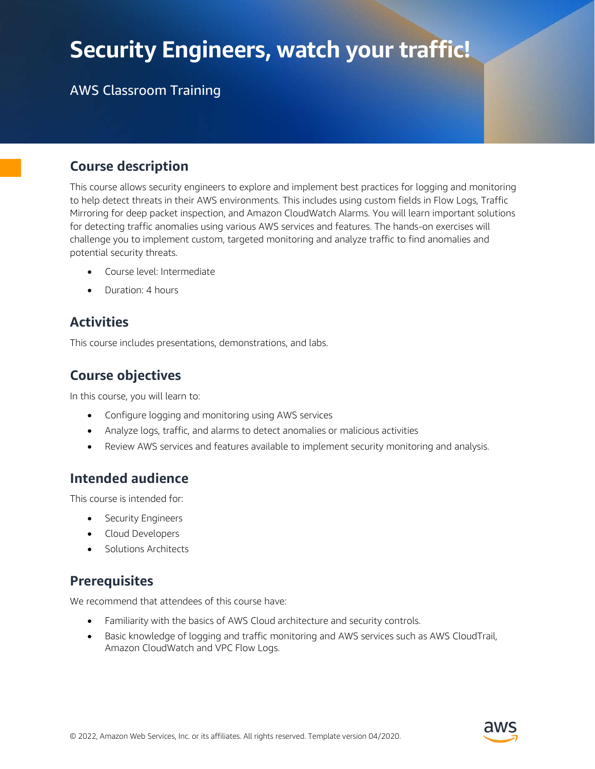# Security Engineers, watch your traffic!

## AWS Classroom Training

### Course description

This course allows security engineers to explore and implement best practices for logging and monitoring to help detect threats in their AWS environments. This includes using custom fields in Flow Logs, Traffic Mirroring for deep packet inspection, and Amazon CloudWatch Alarms. You will learn important solutions for detecting traffic anomalies using various AWS services and features. The hands-on exercises will challenge you to implement custom, targeted monitoring and analyze traffic to find anomalies and potential security threats.

- Course level: Intermediate
- Duration: 4 hours

### **Activities**

This course includes presentations, demonstrations, and labs.

### Course objectives

In this course, you will learn to:

- Configure logging and monitoring using AWS services
- Analyze logs, traffic, and alarms to detect anomalies or malicious activities
- Review AWS services and features available to implement security monitoring and analysis.

### Intended audience

This course is intended for:

- Security Engineers
- Cloud Developers
- Solutions Architects

### **Prerequisites**

We recommend that attendees of this course have:

- Familiarity with the basics of AWS Cloud architecture and security controls.
- Basic knowledge of logging and traffic monitoring and AWS services such as AWS CloudTrail, Amazon CloudWatch and VPC Flow Logs.